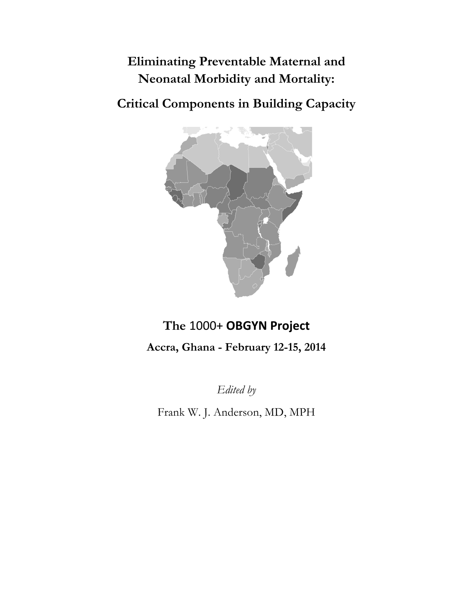## **Eliminating Preventable Maternal and Neonatal Morbidity and Mortality:**

**Critical Components in Building Capacity**



# **The** 1000+ **OBGYN Project Accra, Ghana - February 12-15, 2014**

*Edited by*

Frank W. J. Anderson, MD, MPH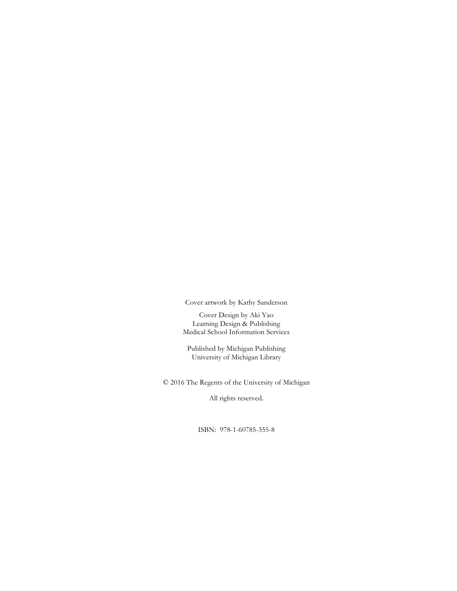Cover artwork by Kathy Sanderson

Cover Design by Aki Yao Learning Design & Publishing Medical School Information Services

Published by Michigan Publishing University of Michigan Library

© 2016 The Regents of the University of Michigan

All rights reserved.

ISBN: 978-1-60785-355-8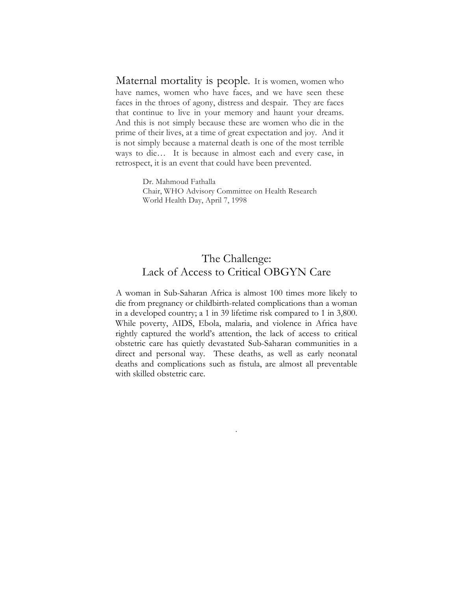Maternal mortality is people. It is women, women who have names, women who have faces, and we have seen these faces in the throes of agony, distress and despair. They are faces that continue to live in your memory and haunt your dreams. And this is not simply because these are women who die in the prime of their lives, at a time of great expectation and joy. And it is not simply because a maternal death is one of the most terrible ways to die… It is because in almost each and every case, in retrospect, it is an event that could have been prevented.

> Dr. Mahmoud Fathalla Chair, WHO Advisory Committee on Health Research World Health Day, April 7, 1998

## The Challenge: Lack of Access to Critical OBGYN Care

A woman in Sub-Saharan Africa is almost 100 times more likely to die from pregnancy or childbirth-related complications than a woman in a developed country; a 1 in 39 lifetime risk compared to 1 in 3,800. While poverty, AIDS, Ebola, malaria, and violence in Africa have rightly captured the world's attention, the lack of access to critical obstetric care has quietly devastated Sub-Saharan communities in a direct and personal way. These deaths, as well as early neonatal deaths and complications such as fistula, are almost all preventable with skilled obstetric care.

.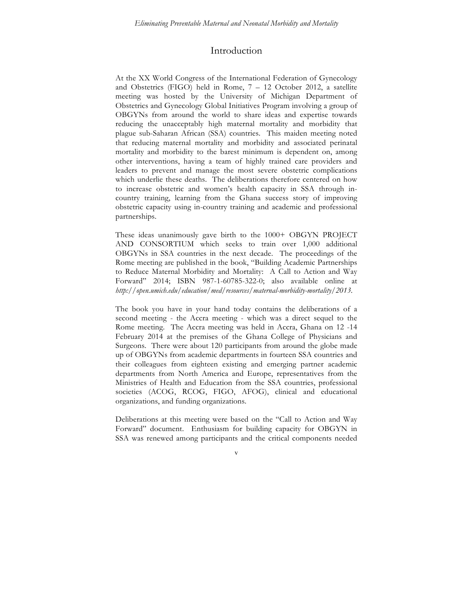#### Introduction

At the XX World Congress of the International Federation of Gynecology and Obstetrics (FIGO) held in Rome, 7 – 12 October 2012, a satellite meeting was hosted by the University of Michigan Department of Obstetrics and Gynecology Global Initiatives Program involving a group of OBGYNs from around the world to share ideas and expertise towards reducing the unacceptably high maternal mortality and morbidity that plague sub-Saharan African (SSA) countries. This maiden meeting noted that reducing maternal mortality and morbidity and associated perinatal mortality and morbidity to the barest minimum is dependent on, among other interventions, having a team of highly trained care providers and leaders to prevent and manage the most severe obstetric complications which underlie these deaths. The deliberations therefore centered on how to increase obstetric and women's health capacity in SSA through incountry training, learning from the Ghana success story of improving obstetric capacity using in-country training and academic and professional partnerships.

These ideas unanimously gave birth to the 1000+ OBGYN PROJECT AND CONSORTIUM which seeks to train over 1,000 additional OBGYNs in SSA countries in the next decade. The proceedings of the Rome meeting are published in the book, "Building Academic Partnerships to Reduce Maternal Morbidity and Mortality: A Call to Action and Way Forward" 2014; ISBN 987-1-60785-322-0; also available online at *http://open.umich.edu/education/med/resources/maternal-morbidity-mortality/2013.*

The book you have in your hand today contains the deliberations of a second meeting - the Accra meeting - which was a direct sequel to the Rome meeting. The Accra meeting was held in Accra, Ghana on 12 -14 February 2014 at the premises of the Ghana College of Physicians and Surgeons. There were about 120 participants from around the globe made up of OBGYNs from academic departments in fourteen SSA countries and their colleagues from eighteen existing and emerging partner academic departments from North America and Europe, representatives from the Ministries of Health and Education from the SSA countries, professional societies (ACOG, RCOG, FIGO, AFOG), clinical and educational organizations, and funding organizations.

Deliberations at this meeting were based on the "Call to Action and Way Forward" document. Enthusiasm for building capacity for OBGYN in SSA was renewed among participants and the critical components needed

v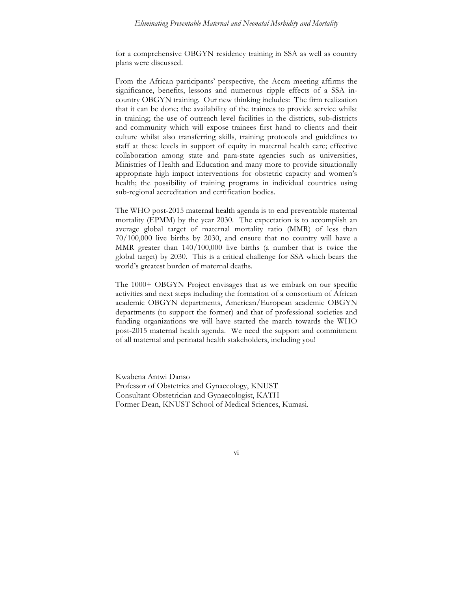for a comprehensive OBGYN residency training in SSA as well as country plans were discussed.

From the African participants' perspective, the Accra meeting affirms the significance, benefits, lessons and numerous ripple effects of a SSA incountry OBGYN training. Our new thinking includes: The firm realization that it can be done; the availability of the trainees to provide service whilst in training; the use of outreach level facilities in the districts, sub-districts and community which will expose trainees first hand to clients and their culture whilst also transferring skills, training protocols and guidelines to staff at these levels in support of equity in maternal health care; effective collaboration among state and para-state agencies such as universities, Ministries of Health and Education and many more to provide situationally appropriate high impact interventions for obstetric capacity and women's health; the possibility of training programs in individual countries using sub-regional accreditation and certification bodies.

The WHO post-2015 maternal health agenda is to end preventable maternal mortality (EPMM) by the year 2030. The expectation is to accomplish an average global target of maternal mortality ratio (MMR) of less than 70/100,000 live births by 2030, and ensure that no country will have a MMR greater than 140/100,000 live births (a number that is twice the global target) by 2030. This is a critical challenge for SSA which bears the world's greatest burden of maternal deaths.

The 1000+ OBGYN Project envisages that as we embark on our specific activities and next steps including the formation of a consortium of African academic OBGYN departments, American/European academic OBGYN departments (to support the former) and that of professional societies and funding organizations we will have started the march towards the WHO post-2015 maternal health agenda. We need the support and commitment of all maternal and perinatal health stakeholders, including you!

Kwabena Antwi Danso Professor of Obstetrics and Gynaecology, KNUST Consultant Obstetrician and Gynaecologist, KATH Former Dean, KNUST School of Medical Sciences, Kumasi.

vi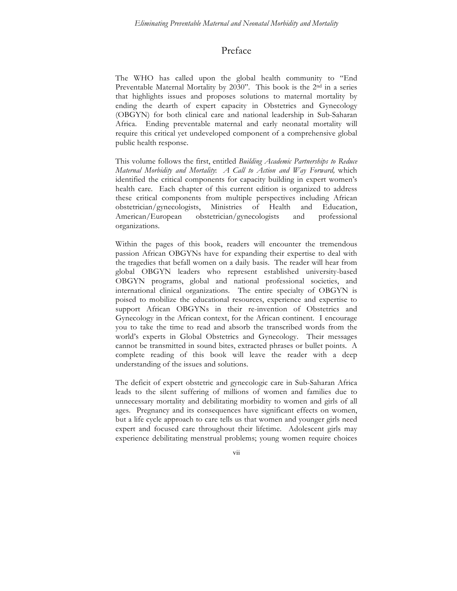#### Preface

The WHO has called upon the global health community to "End Preventable Maternal Mortality by 2030". This book is the 2<sup>nd</sup> in a series that highlights issues and proposes solutions to maternal mortality by ending the dearth of expert capacity in Obstetrics and Gynecology (OBGYN) for both clinical care and national leadership in Sub-Saharan Africa. Ending preventable maternal and early neonatal mortality will require this critical yet undeveloped component of a comprehensive global public health response.

This volume follows the first, entitled *Building Academic Partnerships to Reduce Maternal Morbidity and Mortality*: *A Call to Action and Way Forward,* which identified the critical components for capacity building in expert women's health care. Each chapter of this current edition is organized to address these critical components from multiple perspectives including African obstetrician/gynecologists, Ministries of Health and Education, American/European obstetrician/gynecologists and professional organizations.

Within the pages of this book, readers will encounter the tremendous passion African OBGYNs have for expanding their expertise to deal with the tragedies that befall women on a daily basis. The reader will hear from global OBGYN leaders who represent established university-based OBGYN programs, global and national professional societies, and international clinical organizations. The entire specialty of OBGYN is poised to mobilize the educational resources, experience and expertise to support African OBGYNs in their re-invention of Obstetrics and Gynecology in the African context, for the African continent. I encourage you to take the time to read and absorb the transcribed words from the world's experts in Global Obstetrics and Gynecology. Their messages cannot be transmitted in sound bites, extracted phrases or bullet points. A complete reading of this book will leave the reader with a deep understanding of the issues and solutions.

The deficit of expert obstetric and gynecologic care in Sub-Saharan Africa leads to the silent suffering of millions of women and families due to unnecessary mortality and debilitating morbidity to women and girls of all ages. Pregnancy and its consequences have significant effects on women, but a life cycle approach to care tells us that women and younger girls need expert and focused care throughout their lifetime. Adolescent girls may experience debilitating menstrual problems; young women require choices

vii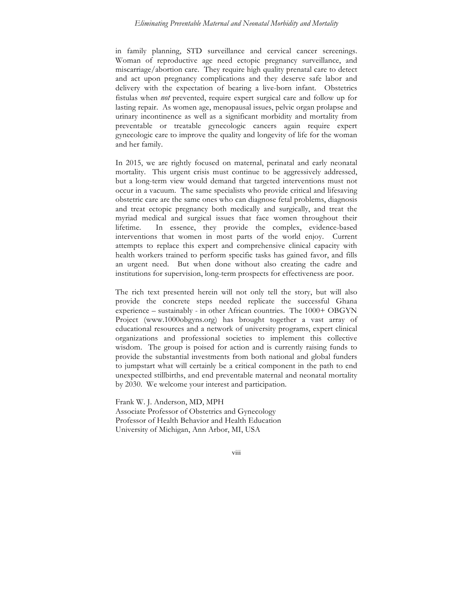in family planning, STD surveillance and cervical cancer screenings. Woman of reproductive age need ectopic pregnancy surveillance, and miscarriage/abortion care. They require high quality prenatal care to detect and act upon pregnancy complications and they deserve safe labor and delivery with the expectation of bearing a live-born infant. Obstetrics fistulas when *not* prevented, require expert surgical care and follow up for lasting repair. As women age, menopausal issues, pelvic organ prolapse and urinary incontinence as well as a significant morbidity and mortality from preventable or treatable gynecologic cancers again require expert gynecologic care to improve the quality and longevity of life for the woman and her family.

In 2015, we are rightly focused on maternal, perinatal and early neonatal mortality. This urgent crisis must continue to be aggressively addressed, but a long-term view would demand that targeted interventions must not occur in a vacuum. The same specialists who provide critical and lifesaving obstetric care are the same ones who can diagnose fetal problems, diagnosis and treat ectopic pregnancy both medically and surgically, and treat the myriad medical and surgical issues that face women throughout their lifetime. In essence, they provide the complex, evidence-based interventions that women in most parts of the world enjoy. Current attempts to replace this expert and comprehensive clinical capacity with health workers trained to perform specific tasks has gained favor, and fills an urgent need. But when done without also creating the cadre and institutions for supervision, long-term prospects for effectiveness are poor.

The rich text presented herein will not only tell the story, but will also provide the concrete steps needed replicate the successful Ghana experience – sustainably - in other African countries. The 1000+ OBGYN Project (www.1000obgyns.org) has brought together a vast array of educational resources and a network of university programs, expert clinical organizations and professional societies to implement this collective wisdom. The group is poised for action and is currently raising funds to provide the substantial investments from both national and global funders to jumpstart what will certainly be a critical component in the path to end unexpected stillbirths, and end preventable maternal and neonatal mortality by 2030. We welcome your interest and participation.

Frank W. J. Anderson, MD, MPH Associate Professor of Obstetrics and Gynecology Professor of Health Behavior and Health Education University of Michigan, Ann Arbor, MI, USA

viii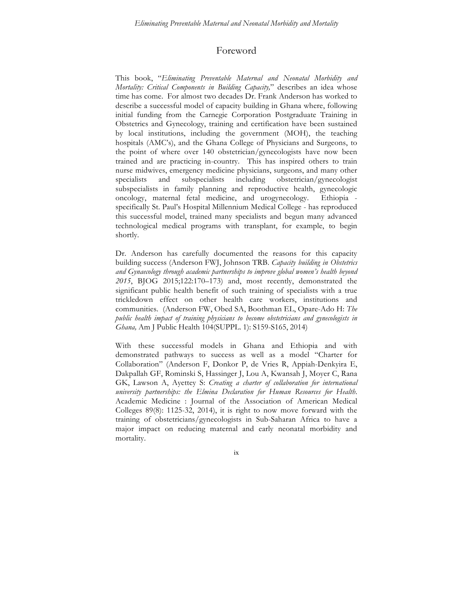#### Foreword

This book, "*Eliminating Preventable Maternal and Neonatal Morbidity and Mortality: Critical Components in Building Capacity,*" describes an idea whose time has come. For almost two decades Dr. Frank Anderson has worked to describe a successful model of capacity building in Ghana where, following initial funding from the Carnegie Corporation Postgraduate Training in Obstetrics and Gynecology, training and certification have been sustained by local institutions, including the government (MOH), the teaching hospitals (AMC's), and the Ghana College of Physicians and Surgeons, to the point of where over 140 obstetrician/gynecologists have now been trained and are practicing in-country. This has inspired others to train nurse midwives, emergency medicine physicians, surgeons, and many other specialists and subspecialists including obstetrician/gynecologist subspecialists in family planning and reproductive health, gynecologic oncology, maternal fetal medicine, and urogynecology. Ethiopia specifically St. Paul's Hospital Millennium Medical College - has reproduced this successful model, trained many specialists and begun many advanced technological medical programs with transplant, for example, to begin shortly.

Dr. Anderson has carefully documented the reasons for this capacity building success (Anderson FWJ, Johnson TRB. *Capacity building in Obstetrics and Gynaecology through academic partnerships to improve global women's health beyond 2015*, BJOG 2015;122:170–173) and, most recently, demonstrated the significant public health benefit of such training of specialists with a true trickledown effect on other health care workers, institutions and communities. (Anderson FW, Obed SA, Boothman EL, Opare-Ado H: *The public health impact of training physicians to become obstetricians and gynecologists in Ghana,* Am J Public Health 104(SUPPL. 1): S159-S165, 2014)

With these successful models in Ghana and Ethiopia and with demonstrated pathways to success as well as a model "Charter for Collaboration" (Anderson F, Donkor P, de Vries R, Appiah-Denkyira E, Dakpallah GF, Rominski S, Hassinger J, Lou A, Kwansah J, Moyer C, Rana GK, Lawson A, Ayettey S: *Creating a charter of collaboration for international university partnerships: the Elmina Declaration for Human Resources for Health*. Academic Medicine : Journal of the Association of American Medical Colleges 89(8): 1125-32, 2014), it is right to now move forward with the training of obstetricians/gynecologists in Sub-Saharan Africa to have a major impact on reducing maternal and early neonatal morbidity and mortality.

ix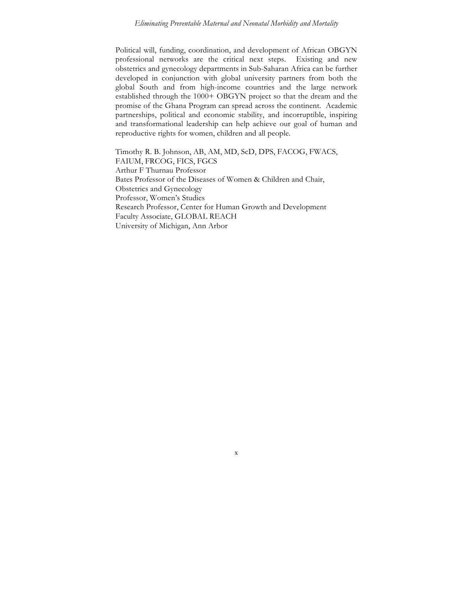Political will, funding, coordination, and development of African OBGYN professional networks are the critical next steps. Existing and new obstetrics and gynecology departments in Sub-Saharan Africa can be further developed in conjunction with global university partners from both the global South and from high-income countries and the large network established through the 1000+ OBGYN project so that the dream and the promise of the Ghana Program can spread across the continent. Academic partnerships, political and economic stability, and incorruptible, inspiring and transformational leadership can help achieve our goal of human and reproductive rights for women, children and all people.

Timothy R. B. Johnson, AB, AM, MD, ScD, DPS, FACOG, FWACS, FAIUM, FRCOG, FICS, FGCS Arthur F Thurnau Professor Bates Professor of the Diseases of Women & Children and Chair, Obstetrics and Gynecology Professor, Women's Studies Research Professor, Center for Human Growth and Development Faculty Associate, GLOBAL REACH University of Michigan, Ann Arbor

x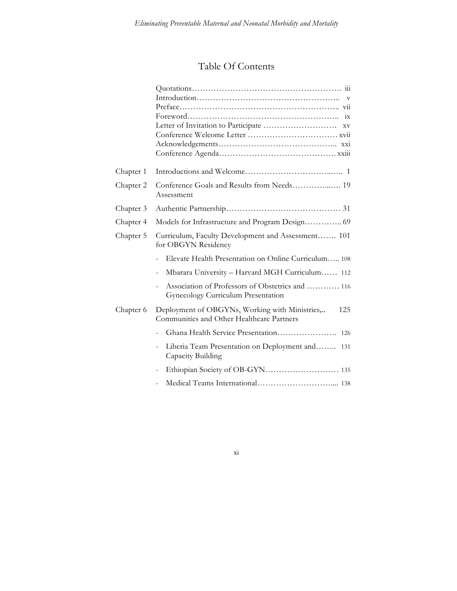## Table Of Contents

| Chapter 1 |                                                                                                    |  |
|-----------|----------------------------------------------------------------------------------------------------|--|
| Chapter 2 | Conference Goals and Results from Needs 19<br>Assessment                                           |  |
| Chapter 3 |                                                                                                    |  |
| Chapter 4 | Models for Infrastructure and Program Design 69                                                    |  |
| Chapter 5 | Curriculum, Faculty Development and Assessment 101<br>for OBGYN Residency                          |  |
|           | Elevate Health Presentation on Online Curriculum 108                                               |  |
|           | Mbarara University - Harvard MGH Curriculum 112                                                    |  |
|           | Gynecology Curriculum Presentation                                                                 |  |
| Chapter 6 | Deployment of OBGYNs, Working with Ministries,<br>125<br>Communities and Other Healthcare Partners |  |
|           | Ghana Health Service Presentation<br>126                                                           |  |
|           | Liberia Team Presentation on Deployment and<br>131<br>Capacity Building                            |  |
|           |                                                                                                    |  |
|           |                                                                                                    |  |

xi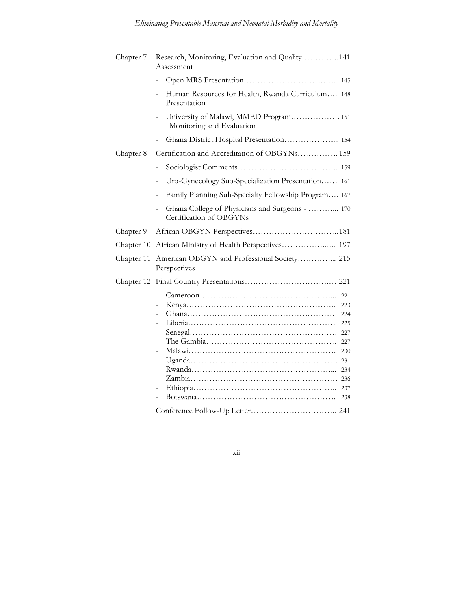| Chapter 7  | Research, Monitoring, Evaluation and Quality 141<br>Assessment                                     |  |
|------------|----------------------------------------------------------------------------------------------------|--|
|            | 145                                                                                                |  |
|            | Human Resources for Health, Rwanda Curriculum 148<br>Presentation                                  |  |
|            | University of Malawi, MMED Program 151<br>Monitoring and Evaluation                                |  |
|            | Ghana District Hospital Presentation 154                                                           |  |
| Chapter 8  | Certification and Accreditation of OBGYNs 159                                                      |  |
|            |                                                                                                    |  |
|            | Uro-Gynecology Sub-Specialization Presentation 161<br>$\overline{\phantom{0}}$                     |  |
|            | Family Planning Sub-Specialty Fellowship Program 167                                               |  |
|            | Ghana College of Physicians and Surgeons -  170<br>Certification of OBGYNs                         |  |
| Chapter 9  |                                                                                                    |  |
| Chapter 10 | African Ministry of Health Perspectives 197                                                        |  |
| Chapter 11 | American OBGYN and Professional Society 215<br>Perspectives                                        |  |
| Chapter 12 |                                                                                                    |  |
|            | 221<br>223<br>224<br>225<br>227<br>227<br>230<br>231<br>$\overline{a}$<br>234<br>236<br>237<br>238 |  |
|            |                                                                                                    |  |

#### xii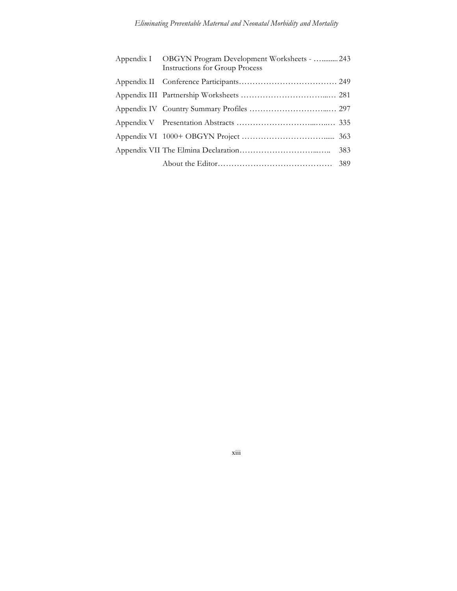|  | Appendix I OBGYN Program Development Worksheets -  243<br>Instructions for Group Process |  |
|--|------------------------------------------------------------------------------------------|--|
|  |                                                                                          |  |
|  |                                                                                          |  |
|  |                                                                                          |  |
|  |                                                                                          |  |
|  |                                                                                          |  |
|  |                                                                                          |  |
|  |                                                                                          |  |
|  |                                                                                          |  |

xiii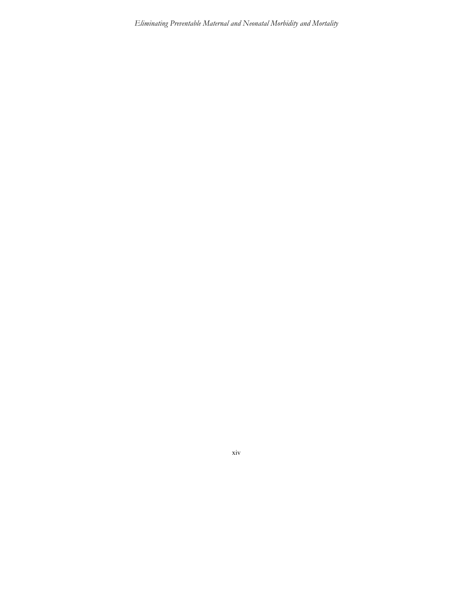*Eliminating Preventable Maternal and Neonatal Morbidity and Mortality*

xiv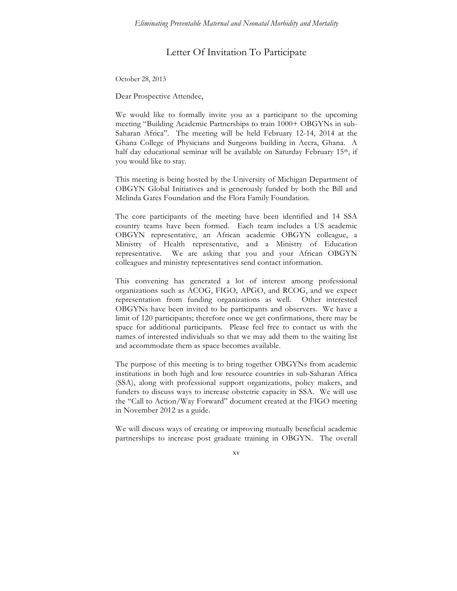#### Letter Of Invitation To Participate

October 28, 2013

Dear Prospective Attendee,

We would like to formally invite you as a participant to the upcoming meeting "Building Academic Partnerships to train 1000+ OBGYNs in sub-Saharan Africa". The meeting will be held February 12-14, 2014 at the Ghana College of Physicians and Surgeons building in Accra, Ghana. A half day educational seminar will be available on Saturday February 15th, if you would like to stay.

This meeting is being hosted by the University of Michigan Department of OBGYN Global Initiatives and is generously funded by both the Bill and Melinda Gates Foundation and the Flora Family Foundation.

The core participants of the meeting have been identified and 14 SSA country teams have been formed. Each team includes a US academic OBGYN representative, an African academic OBGYN colleague, a Ministry of Health representative, and a Ministry of Education representative. We are asking that you and your African OBGYN colleagues and ministry representatives send contact information.

This convening has generated a lot of interest among professional organizations such as ACOG, FIGO, APGO, and RCOG, and we expect representation from funding organizations as well. Other interested OBGYNs have been invited to be participants and observers. We have a limit of 120 participants; therefore once we get confirmations, there may be space for additional participants. Please feel free to contact us with the names of interested individuals so that we may add them to the waiting list and accommodate them as space becomes available.

The purpose of this meeting is to bring together OBGYNs from academic institutions in both high and low resource countries in sub-Saharan Africa (SSA), along with professional support organizations, policy makers, and funders to discuss ways to increase obstetric capacity in SSA. We will use the "Call to Action/Way Forward" document created at the FIGO meeting in November 2012 as a guide.

We will discuss ways of creating or improving mutually beneficial academic partnerships to increase post graduate training in OBGYN. The overall

xv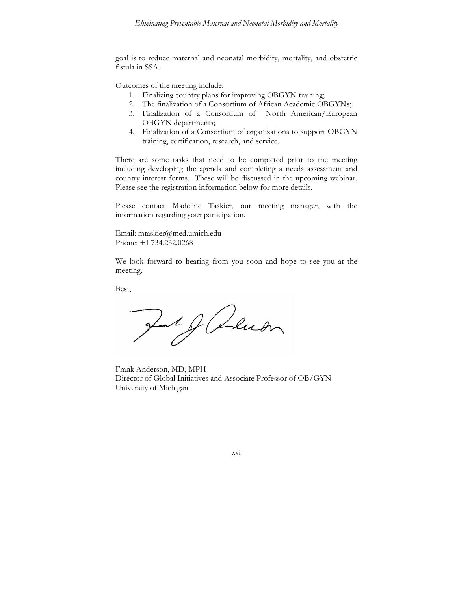goal is to reduce maternal and neonatal morbidity, mortality, and obstetric fistula in SSA.

Outcomes of the meeting include:

- 1. Finalizing country plans for improving OBGYN training;
- 2. The finalization of a Consortium of African Academic OBGYNs;
- 3. Finalization of a Consortium of North American/European OBGYN departments;
- 4. Finalization of a Consortium of organizations to support OBGYN training, certification, research, and service.

There are some tasks that need to be completed prior to the meeting including developing the agenda and completing a needs assessment and country interest forms. These will be discussed in the upcoming webinar. Please see the registration information below for more details.

Please contact Madeline Taskier, our meeting manager, with the information regarding your participation.

Email: mtaskier@med.umich.edu Phone: +1.734.232.0268

We look forward to hearing from you soon and hope to see you at the meeting.

Best,

Fort of Chuden

Frank Anderson, MD, MPH Director of Global Initiatives and Associate Professor of OB/GYN University of Michigan

xvi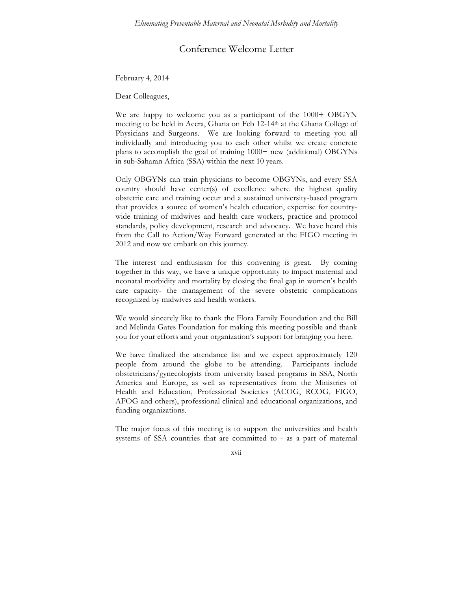#### Conference Welcome Letter

February 4, 2014

Dear Colleagues,

We are happy to welcome you as a participant of the 1000+ OBGYN meeting to be held in Accra, Ghana on Feb 12-14<sup>th</sup> at the Ghana College of Physicians and Surgeons. We are looking forward to meeting you all individually and introducing you to each other whilst we create concrete plans to accomplish the goal of training 1000+ new (additional) OBGYNs in sub-Saharan Africa (SSA) within the next 10 years.

Only OBGYNs can train physicians to become OBGYNs, and every SSA country should have center(s) of excellence where the highest quality obstetric care and training occur and a sustained university-based program that provides a source of women's health education, expertise for countrywide training of midwives and health care workers, practice and protocol standards, policy development, research and advocacy. We have heard this from the Call to Action/Way Forward generated at the FIGO meeting in 2012 and now we embark on this journey.

The interest and enthusiasm for this convening is great. By coming together in this way, we have a unique opportunity to impact maternal and neonatal morbidity and mortality by closing the final gap in women's health care capacity- the management of the severe obstetric complications recognized by midwives and health workers.

We would sincerely like to thank the Flora Family Foundation and the Bill and Melinda Gates Foundation for making this meeting possible and thank you for your efforts and your organization's support for bringing you here.

We have finalized the attendance list and we expect approximately 120 people from around the globe to be attending. Participants include obstetricians/gynecologists from university based programs in SSA, North America and Europe, as well as representatives from the Ministries of Health and Education, Professional Societies (ACOG, RCOG, FIGO, AFOG and others), professional clinical and educational organizations, and funding organizations.

The major focus of this meeting is to support the universities and health systems of SSA countries that are committed to - as a part of maternal

xvii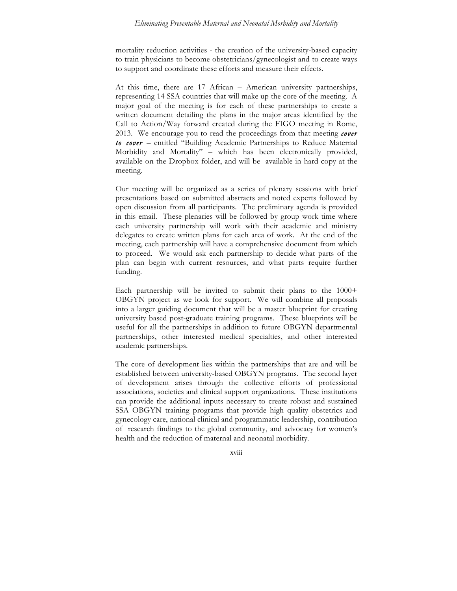mortality reduction activities - the creation of the university-based capacity to train physicians to become obstetricians/gynecologist and to create ways to support and coordinate these efforts and measure their effects.

At this time, there are 17 African – American university partnerships, representing 14 SSA countries that will make up the core of the meeting. A major goal of the meeting is for each of these partnerships to create a written document detailing the plans in the major areas identified by the Call to Action/Way forward created during the FIGO meeting in Rome, 2013. We encourage you to read the proceedings from that meeting *cover to cover* – entitled "Building Academic Partnerships to Reduce Maternal Morbidity and Mortality" – which has been electronically provided, available on the Dropbox folder, and will be available in hard copy at the meeting.

Our meeting will be organized as a series of plenary sessions with brief presentations based on submitted abstracts and noted experts followed by open discussion from all participants. The preliminary agenda is provided in this email. These plenaries will be followed by group work time where each university partnership will work with their academic and ministry delegates to create written plans for each area of work. At the end of the meeting, each partnership will have a comprehensive document from which to proceed. We would ask each partnership to decide what parts of the plan can begin with current resources, and what parts require further funding.

Each partnership will be invited to submit their plans to the 1000+ OBGYN project as we look for support. We will combine all proposals into a larger guiding document that will be a master blueprint for creating university based post-graduate training programs. These blueprints will be useful for all the partnerships in addition to future OBGYN departmental partnerships, other interested medical specialties, and other interested academic partnerships.

The core of development lies within the partnerships that are and will be established between university-based OBGYN programs. The second layer of development arises through the collective efforts of professional associations, societies and clinical support organizations. These institutions can provide the additional inputs necessary to create robust and sustained SSA OBGYN training programs that provide high quality obstetrics and gynecology care, national clinical and programmatic leadership, contribution of research findings to the global community, and advocacy for women's health and the reduction of maternal and neonatal morbidity.

xviii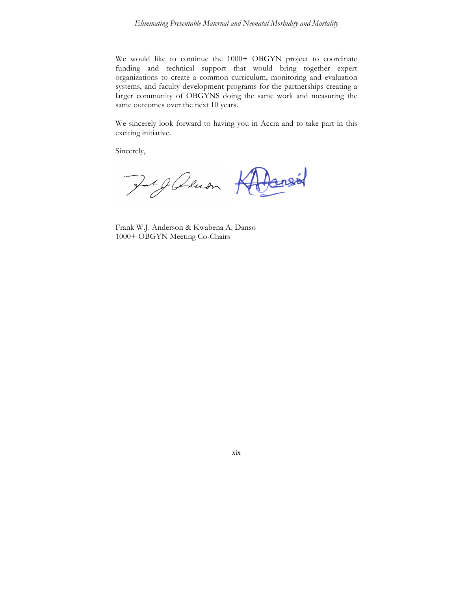We would like to continue the 1000+ OBGYN project to coordinate funding and technical support that would bring together expert organizations to create a common curriculum, monitoring and evaluation systems, and faculty development programs for the partnerships creating a larger community of OBGYNS doing the same work and measuring the same outcomes over the next 10 years.

We sincerely look forward to having you in Accra and to take part in this exciting initiative.

Sincerely,

Fort & Column Koldanson

Frank W.J. Anderson & Kwabena A. Danso 1000+ OBGYN Meeting Co-Chairs

xix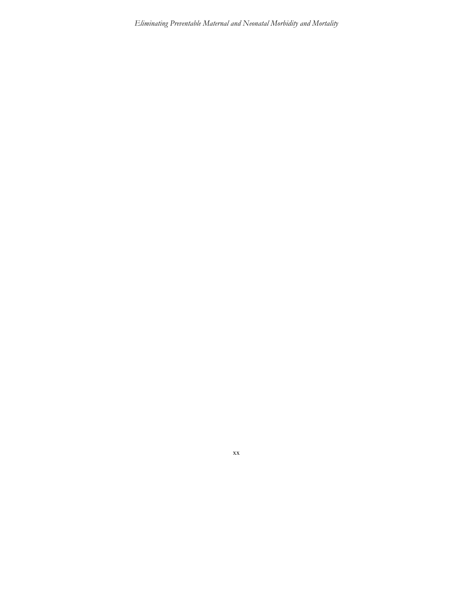*Eliminating Preventable Maternal and Neonatal Morbidity and Mortality*

xx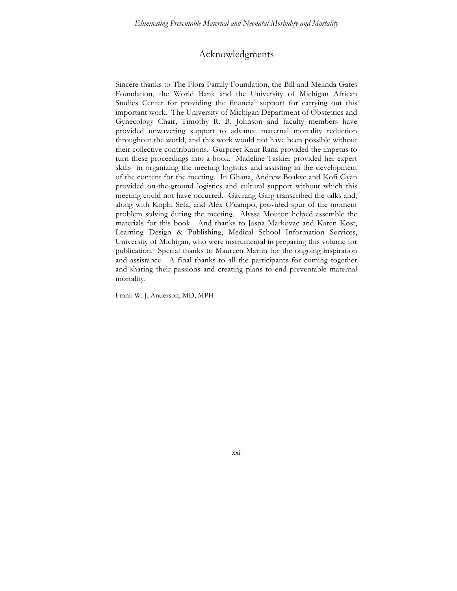#### Acknowledgments

Sincere thanks to The Flora Family Foundation, the Bill and Melinda Gates Foundation, the World Bank and the University of Michigan African Studies Center for providing the financial support for carrying out this important work. The University of Michigan Department of Obstetrics and Gynecology Chair, Timothy R. B. Johnson and faculty members have provided unwavering support to advance maternal mortality reduction throughout the world, and this work would not have been possible without their collective contributions. Gurpreet Kaur Rana provided the impetus to turn these proceedings into a book. Madeline Taskier provided her expert skills in organizing the meeting logistics and assisting in the development of the content for the meeting. In Ghana, Andrew Boakye and Kofi Gyan provided on-the-ground logistics and cultural support without which this meeting could not have occurred. Gaurang Garg transcribed the talks and, along with Kophi Sefa, and Alex O'campo, provided spur of the moment problem solving during the meeting. Alyssa Mouton helped assemble the materials for this book. And thanks to Jasna Markovac and Karen Kost, Learning Design & Publishing, Medical School Information Services, University of Michigan, who were instrumental in preparing this volume for publication. Special thanks to Maureen Martin for the ongoing inspiration and assistance. A final thanks to all the participants for coming together and sharing their passions and creating plans to end preventable maternal mortality.

Frank W. J. Anderson, MD, MPH

xxi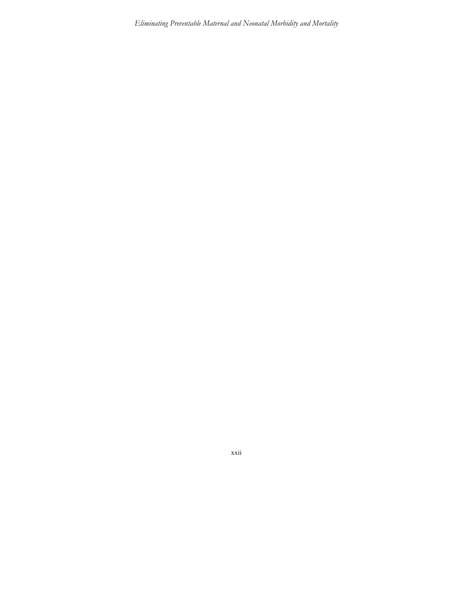*Eliminating Preventable Maternal and Neonatal Morbidity and Mortality*

xxii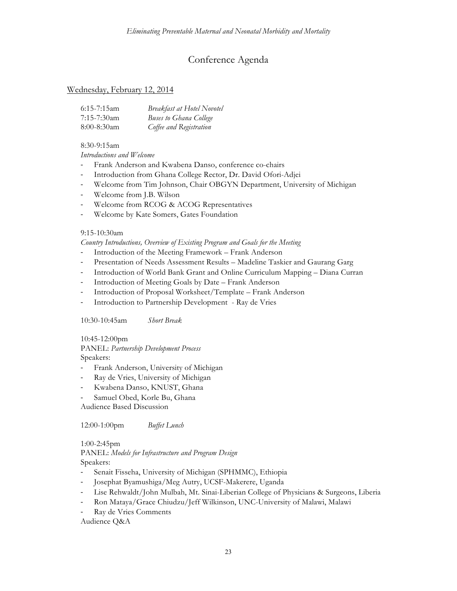### Conference Agenda

#### Wednesday, February 12, 2014

| $6:15-7:15$ am | <b>Breakfast at Hotel Novotel</b> |
|----------------|-----------------------------------|
| 7:15-7:30am    | <b>Buses to Ghana College</b>     |
| $8:00-8:30$ am | Coffee and Registration           |

8:30-9:15am

*Introductions and Welcome* 

- Frank Anderson and Kwabena Danso, conference co-chairs
- Introduction from Ghana College Rector, Dr. David Ofori-Adjei
- Welcome from Tim Johnson, Chair OBGYN Department, University of Michigan
- Welcome from J.B. Wilson
- Welcome from RCOG & ACOG Representatives
- Welcome by Kate Somers, Gates Foundation

#### 9:15-10:30am

*Country Introductions, Overview of Existing Program and Goals for the Meeting*

- Introduction of the Meeting Framework Frank Anderson
- Presentation of Needs Assessment Results Madeline Taskier and Gaurang Garg
- Introduction of World Bank Grant and Online Curriculum Mapping Diana Curran
- Introduction of Meeting Goals by Date Frank Anderson
- Introduction of Proposal Worksheet/Template Frank Anderson
- Introduction to Partnership Development Ray de Vries

10:30-10:45am *Short Break*

#### 10:45-12:00pm

PANEL: *Partnership Development Process* Speakers:

- Frank Anderson, University of Michigan
- Ray de Vries, University of Michigan
- Kwabena Danso, KNUST, Ghana
- Samuel Obed, Korle Bu, Ghana

Audience Based Discussion

12:00-1:00pm *Buffet Lunch*

1:00-2:45pm PANEL: *Models for Infrastructure and Program Design* Speakers:

- Senait Fisseha, University of Michigan (SPHMMC), Ethiopia
- Josephat Byamushiga/Meg Autry, UCSF-Makerere, Uganda
- Lise Rehwaldt/John Mulbah, Mt. Sinai-Liberian College of Physicians & Surgeons, Liberia
- Ron Mataya/Grace Chiudzu/Jeff Wilkinson, UNC-University of Malawi, Malawi
- Ray de Vries Comments

Audience Q&A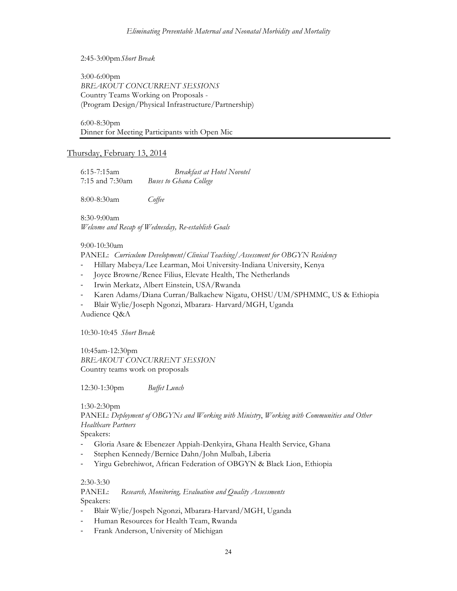2:45-3:00pm*Short Break*

3:00-6:00pm *BREAKOUT CONCURRENT SESSIONS* Country Teams Working on Proposals - (Program Design/Physical Infrastructure/Partnership)

6:00-8:30pm Dinner for Meeting Participants with Open Mic

#### Thursday, February 13, 2014

6:15-7:15am *Breakfast at Hotel Novotel* 7:15 and 7:30am *Buses to Ghana College*

8:00-8:30am *Coffee*

8:30-9:00am *Welcome and Recap of Wednesday, Re-establish Goals*

9:00-10:30am

PANEL: *Curriculum Development/Clinical Teaching/Assessment for OBGYN Residency*

- Hillary Mabeya/Lee Learman, Moi University-Indiana University, Kenya
- Joyce Browne/Renee Filius, Elevate Health, The Netherlands
- Irwin Merkatz, Albert Einstein, USA/Rwanda
- Karen Adams/Diana Curran/Balkachew Nigatu, OHSU/UM/SPHMMC, US & Ethiopia
- Blair Wylie/Joseph Ngonzi, Mbarara- Harvard/MGH, Uganda

Audience Q&A

10:30-10:45 *Short Break*

10:45am-12:30pm *BREAKOUT CONCURRENT SESSION* Country teams work on proposals

12:30-1:30pm *Buffet Lunch*

1:30-2:30pm

PANEL: *Deployment of OBGYNs and Working with Ministry*, *Working with Communities and Other Healthcare Partners*

Speakers:

- Gloria Asare & Ebenezer Appiah-Denkyira, Ghana Health Service, Ghana
- Stephen Kennedy/Bernice Dahn/John Mulbah, Liberia
- Yirgu Gebrehiwot, African Federation of OBGYN & Black Lion, Ethiopia

2:30-3:30

PANEL: *Research, Monitoring, Evaluation and Quality Assessments* Speakers:

- Blair Wylie/Jospeh Ngonzi, Mbarara-Harvard/MGH, Uganda
- Human Resources for Health Team, Rwanda
- Frank Anderson, University of Michigan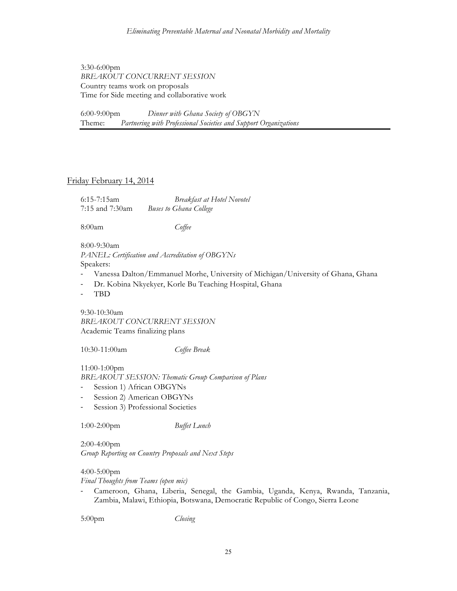3:30-6:00pm *BREAKOUT CONCURRENT SESSION* Country teams work on proposals Time for Side meeting and collaborative work

6:00-9:00pm *Dinner with Ghana Society of OBGYN* Theme: *Partnering with Professional Societies and Support Organizations*

#### Friday February 14, 2014

6:15-7:15am *Breakfast at Hotel Novotel* 7:15 and 7:30am *Buses to Ghana College*

8:00am *Coffee*

8:00-9:30am *PANEL: Certification and Accreditation of OBGYNs* Speakers:

- Vanessa Dalton/Emmanuel Morhe, University of Michigan/University of Ghana, Ghana
- Dr. Kobina Nkyekyer, Korle Bu Teaching Hospital, Ghana
- TBD

9:30-10:30am *BREAKOUT CONCURRENT SESSION* Academic Teams finalizing plans

10:30-11:00am *Coffee Break*

11:00-1:00pm *BREAKOUT SESSION: Thematic Group Comparison of Plans*

- Session 1) African OBGYNs
- Session 2) American OBGYNs
- Session 3) Professional Societies

1:00-2:00pm *Buffet Lunch*

2:00-4:00pm *Group Reporting on Country Proposals and Next Steps*

#### 4:00-5:00pm

*Final Thoughts from Teams (open mic)*

- Cameroon, Ghana, Liberia, Senegal, the Gambia, Uganda, Kenya, Rwanda, Tanzania, Zambia, Malawi, Ethiopia, Botswana, Democratic Republic of Congo, Sierra Leone

5:00pm *Closing*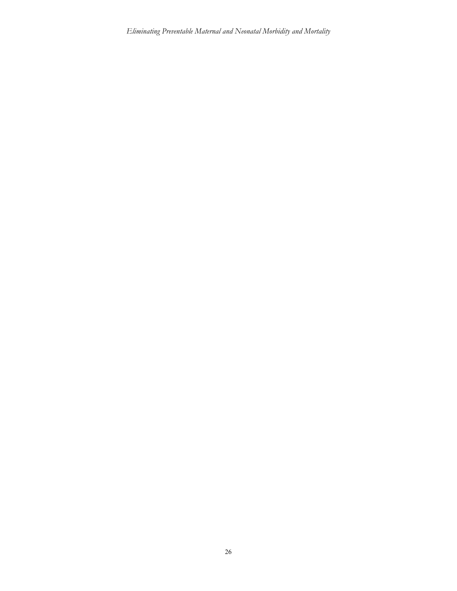*Eliminating Preventable Maternal and Neonatal Morbidity and Mortality*